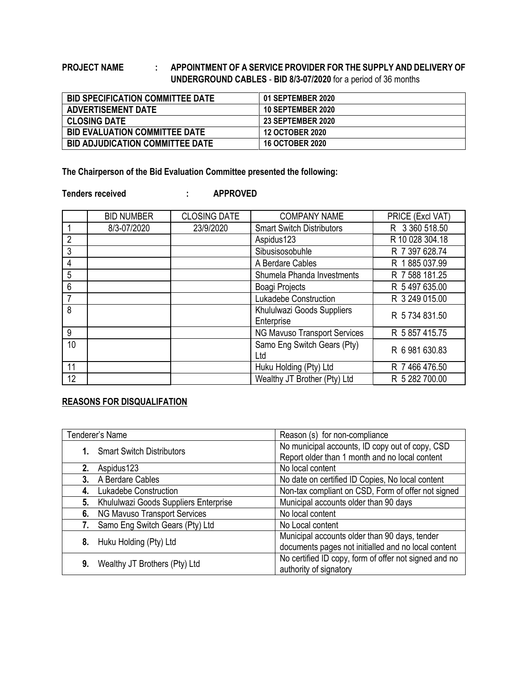## **PROJECT NAME : APPOINTMENT OF A SERVICE PROVIDER FOR THE SUPPLY AND DELIVERY OF UNDERGROUND CABLES** - **BID 8/3-07/2020** for a period of 36 months

| <b>BID SPECIFICATION COMMITTEE DATE</b> | 01 SEPTEMBER 2020        |
|-----------------------------------------|--------------------------|
| <b>ADVERTISEMENT DATE</b>               | <b>10 SEPTEMBER 2020</b> |
| <b>CLOSING DATE</b>                     | <b>23 SEPTEMBER 2020</b> |
| <b>BID EVALUATION COMMITTEE DATE</b>    | <b>12 OCTOBER 2020</b>   |
| <b>BID ADJUDICATION COMMITTEE DATE</b>  | <b>16 OCTOBER 2020</b>   |

**The Chairperson of the Bid Evaluation Committee presented the following:**

**Tenders received : APPROVED**

|                | <b>BID NUMBER</b> | <b>CLOSING DATE</b> | <b>COMPANY NAME</b>                      | PRICE (Excl VAT) |  |
|----------------|-------------------|---------------------|------------------------------------------|------------------|--|
|                | 8/3-07/2020       | 23/9/2020           | <b>Smart Switch Distributors</b>         | R 3 360 518.50   |  |
| $\overline{2}$ |                   |                     | Aspidus123                               | R 10 028 304.18  |  |
| 3              |                   |                     | Sibusisosobuhle<br>R 7 397 628.74        |                  |  |
| 4              |                   |                     | R 1885 037.99<br>A Berdare Cables        |                  |  |
| 5              |                   |                     | Shumela Phanda Investments               | R 7 588 181.25   |  |
| 6              |                   |                     | <b>Boagi Projects</b>                    | R 5497635.00     |  |
| 7              |                   |                     | Lukadebe Construction                    | R 3 249 015.00   |  |
| 8              |                   |                     | Khululwazi Goods Suppliers<br>Enterprise | R 5 734 831.50   |  |
| 9              |                   |                     | NG Mavuso Transport Services             | R 5 857 415.75   |  |
| 10             |                   |                     | Samo Eng Switch Gears (Pty)<br>Ltd       | R 6 981 630.83   |  |
| 11             |                   |                     | Huku Holding (Pty) Ltd                   | R 7 466 476.50   |  |
| 12             |                   |                     | Wealthy JT Brother (Pty) Ltd             | R 5 282 700.00   |  |

## **REASONS FOR DISQUALIFATION**

| Tenderer's Name                             | Reason (s) for non-compliance                         |  |  |
|---------------------------------------------|-------------------------------------------------------|--|--|
| <b>Smart Switch Distributors</b>            | No municipal accounts, ID copy out of copy, CSD       |  |  |
|                                             | Report older than 1 month and no local content        |  |  |
| Aspidus123<br>2.                            | No local content                                      |  |  |
| A Berdare Cables<br>3.                      | No date on certified ID Copies, No local content      |  |  |
| Lukadebe Construction<br>4.                 | Non-tax compliant on CSD, Form of offer not signed    |  |  |
| Khululwazi Goods Suppliers Enterprise<br>5. | Municipal accounts older than 90 days                 |  |  |
| NG Mavuso Transport Services<br>6.          | No local content                                      |  |  |
| Samo Eng Switch Gears (Pty) Ltd             | No Local content                                      |  |  |
| Huku Holding (Pty) Ltd<br>8.                | Municipal accounts older than 90 days, tender         |  |  |
|                                             | documents pages not initialled and no local content   |  |  |
| Wealthy JT Brothers (Pty) Ltd<br>9.         | No certified ID copy, form of offer not signed and no |  |  |
|                                             | authority of signatory                                |  |  |